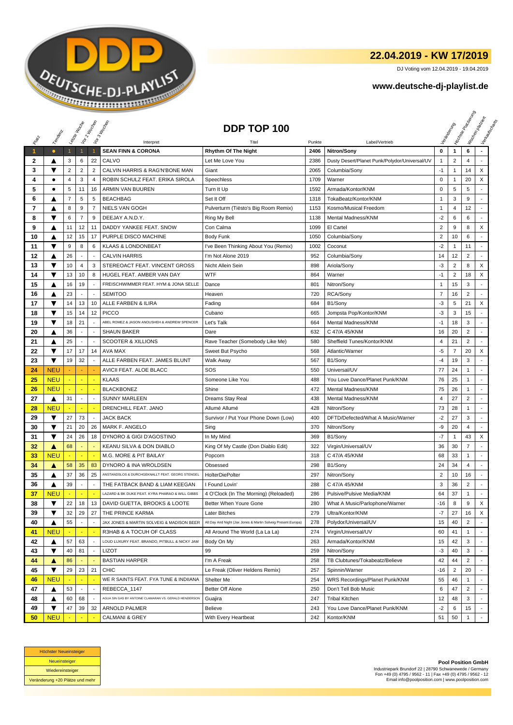

## **22.04.2019 - KW 17/2019**

DJ Voting vom 12.04.2019 - 19.04.2019

## **www.deutsche-dj-playlist.de**

|              |                         | Leizie Hacop   |                          | Voir 2 Moone             | Vor3 Incolas                                                          | DDP TOP 100                                                   |        |                                               |                |                | <b>Licitorial Residence</b> | Workenberg<br>Verkaufschaft |
|--------------|-------------------------|----------------|--------------------------|--------------------------|-----------------------------------------------------------------------|---------------------------------------------------------------|--------|-----------------------------------------------|----------------|----------------|-----------------------------|-----------------------------|
|              | Templary                |                |                          |                          |                                                                       |                                                               |        |                                               |                |                |                             |                             |
|              |                         |                |                          |                          | Interpret                                                             |                                                               | Punkte | Label/Vertrieb                                |                |                |                             |                             |
| 1            | $\bullet$               | $\mathbf{1}$   | $\mathbf{1}$             | $\mathbf{1}$             | <b>SEAN FINN &amp; CORONA</b>                                         | <b>Rhythm Of The Night</b>                                    | 2406   | Nitron/Sony                                   | 0              | $\mathbf{1}$   | 6                           |                             |
| $\mathbf{2}$ | ▲                       | 3              | 6                        | 22                       | CALVO                                                                 | Let Me Love You                                               | 2386   | Dusty Desert/Planet Punk/Polydor/Universal/UV | $\mathbf 1$    | $\overline{2}$ | 4                           |                             |
| 3            | ▼                       | $\overline{2}$ | $\sqrt{2}$               | $\overline{2}$           | CALVIN HARRIS & RAG'N'BONE MAN                                        | Giant                                                         | 2065   | Columbia/Sony                                 | $-1$           | $\mathbf{1}$   | 14                          | X                           |
| 4            | ٠                       | 4              | 3                        | 4                        | ROBIN SCHULZ FEAT. ERIKA SIROLA                                       | Speechless                                                    | 1709   | Warner                                        | $\mathsf 0$    | $\mathbf{1}$   | 20                          | X                           |
| 5            | ٠                       | 5              | 11                       | 16                       | ARMIN VAN BUUREN                                                      | Turn It Up                                                    | 1592   | Armada/Kontor/KNM                             | 0              | 5              | 5                           |                             |
| 6            |                         | 7              | 5                        | 5                        | <b>BEACHBAG</b>                                                       | Set It Off                                                    | 1318   | TokaBeatz/Kontor/KNM                          | $\mathbf{1}$   | 3              | 9                           |                             |
| 7            | A                       | 8              | 9                        | $\overline{7}$           | <b>NIELS VAN GOGH</b>                                                 | Pulverturm (Tiësto's Big Room Remix)                          | 1153   | Kosmo/Musical Freedom                         | $\mathbf{1}$   | 4              | 12                          |                             |
| 8            | ▼                       | 6              | $\overline{7}$           | 9                        | DEEJAY A.N.D.Y.                                                       | Ring My Bell                                                  | 1138   | Mental Madness/KNM                            | $-2$           | 6              | 6                           | ٠                           |
| 9            | ▲                       | 11             | 12                       | 11                       | DADDY YANKEE FEAT. SNOW                                               | Con Calma                                                     | 1099   | El Cartel                                     | $\overline{2}$ | 9              | 8                           | X                           |
| 10           | ▲                       | 12             | 15                       | 17                       | PURPLE DISCO MACHINE                                                  | <b>Body Funk</b>                                              | 1050   | Columbia/Sony                                 | $\overline{2}$ | 10             | 6                           |                             |
| 11           | ▼                       | 9              | 8                        | 6                        | <b>KLAAS &amp; LONDONBEAT</b>                                         | I've Been Thinking About You (Remix)                          | 1002   | Coconut                                       | $-2$           | $\mathbf{1}$   | 11                          |                             |
| 12           | ▲                       | 26             | $\overline{a}$           | $\overline{a}$           | <b>CALVIN HARRIS</b>                                                  | I'm Not Alone 2019                                            | 952    | Columbia/Sony                                 | 14             | 12             | $\overline{2}$              |                             |
| 13           | ▼                       | 10             | 4                        | 3                        | STEREOACT FEAT. VINCENT GROSS                                         | Nicht Allein Sein                                             | 898    | Ariola/Sony                                   | -3             | $\overline{2}$ | 8                           | X                           |
| 14           | ▼                       | 13             | 10                       | 8                        | HUGEL FEAT. AMBER VAN DAY                                             | <b>WTF</b>                                                    | 864    | Warner                                        | $-1$           | $\overline{2}$ | 18                          | X                           |
| 15           | ▲                       | 16             | 19                       |                          | FREISCHWIMMER FEAT. HYM & JONA SELLE                                  | Dance                                                         | 801    | Nitron/Sony                                   | 1              | 15             | 3                           | $\overline{a}$              |
| 16           | ▲                       | 23             |                          |                          | <b>SEMITOO</b>                                                        | Heaven                                                        | 720    | RCA/Sony                                      | 7              | 16             | 2                           |                             |
| 17           | ▼                       | 14             | 13                       | 10                       | ALLE FARBEN & ILIRA                                                   | Fading                                                        | 684    | B1/Sony                                       | $-3$           | 5              | 21                          | X                           |
| 18           | ▼                       | 15             | 14                       | 12                       | <b>PICCO</b>                                                          | Cubano                                                        | 665    | Jompsta Pop/Kontor/KNM                        | $-3$           | 3              | 15                          |                             |
| 19           | ▼                       | 18             | 21                       |                          | ABEL ROMEZ & JASON ANOUSHEH & ANDREW SPENCER                          | Let's Talk                                                    | 664    | Mental Madness/KNM                            | $-1$           | 18             | 3                           |                             |
| 20           |                         | 36             | ÷,                       |                          | <b>SHAUN BAKER</b>                                                    | Dare                                                          | 632    | C 47/A 45/KNM                                 | 16             | 20             | $\overline{2}$              | ÷                           |
| 21           | ▲                       | 25             | $\overline{\phantom{a}}$ |                          | <b>SCOOTER &amp; XILLIONS</b>                                         | Rave Teacher (Somebody Like Me)                               | 580    | Sheffield Tunes/Kontor/KNM                    | 4              | 21             | $\overline{2}$              | ٠                           |
| 22           | ▼                       | 17             | 17                       | 14                       | AVA MAX                                                               | Sweet But Psycho                                              | 568    | Atlantic/Warner                               | -5             | $\overline{7}$ | 20                          | X                           |
| 23           | $\blacktriangledown$    | 19             | 32                       |                          | ALLE FARBEN FEAT. JAMES BLUNT                                         | Walk Away                                                     | 567    | B1/Sony                                       | $-4$           | 19             | 3                           |                             |
| 24           | <b>NEU</b>              |                |                          |                          | AVICII FEAT. ALOE BLACC                                               | SOS                                                           | 550    | Universal/UV                                  | 77             | 24             | -1                          |                             |
| 25           | <b>NEU</b>              |                |                          |                          | <b>KLAAS</b>                                                          | Someone Like You                                              | 488    | You Love Dance/Planet Punk/KNM                | 76             | 25             | 1                           |                             |
| 26           | <b>NEU</b>              |                |                          |                          | <b>BLACKBONEZ</b>                                                     | Shine                                                         | 472    | <b>Mental Madness/KNM</b>                     | 75             | 26             | 1                           |                             |
| 27           | ▲                       | 31             | $\blacksquare$           | $\overline{\phantom{a}}$ | <b>SUNNY MARLEEN</b>                                                  | Dreams Stay Real                                              | 438    | Mental Madness/KNM                            | 4              | 27             | $\overline{2}$              | $\blacksquare$              |
| 28           | <b>NEU</b>              |                |                          |                          | DRENCHILL FEAT. JANO                                                  | Allumé Allumé                                                 | 428    | Nitron/Sony                                   | 73             | 28             | 1                           |                             |
| 29           | ▼                       | 27             | 73                       |                          | <b>JACK BACK</b>                                                      | Survivor / Put Your Phone Down (Low)                          | 400    | DFTD/Defected/What A Music/Warner             | $-2$           | 27             | 3                           |                             |
| 30           | $\overline{\textbf{v}}$ | 21             | 20                       | 26                       | MARK F. ANGELO                                                        | Sing                                                          | 370    | Nitron/Sony                                   | -9             | 20             | 4                           |                             |
| 31           | ▼                       | 24             | 26                       | 18                       | DYNORO & GIGI D'AGOSTINO                                              | In My Mind                                                    | 369    | B1/Sony                                       | -7             | $\mathbf{1}$   | 43                          | X                           |
| 32           | ▲                       | 68             |                          |                          | KEANU SILVA & DON DIABLO                                              | King Of My Castle (Don Diablo Edit)                           | 322    | Virgin/Universal/UV                           | 36             | 30             | 7                           |                             |
| 33           | <b>NEU</b>              |                |                          |                          | M.G. MORE & PIT BAILAY                                                | Popcorn                                                       | 318    | C 47/A 45/KNM                                 | 68             | 33             | $\mathbf{1}$                |                             |
| 34           | ▲                       | 58             | 35                       | 83                       | DYNORO & INA WROLDSEN                                                 | Obsessed                                                      | 298    | B1/Sony                                       | 24             | 34             | 4                           | $\overline{a}$              |
| 35           | ▲                       | 37             | 36                       | 25                       | ANSTANDSLOS & DURCHGEKNALLT FEAT. GEORG STENGEL                       | <b>HolterDiePolter</b>                                        | 297    | Nitron/Sony                                   | $\overline{2}$ | 10             | 16                          |                             |
| 36           | ▲                       | 39             |                          |                          | THE FATBACK BAND & LIAM KEEGAN                                        | I Found Lovin'                                                | 288    | C 47/A 45/KNM                                 | 3              | 36             | $\overline{2}$              |                             |
| 37           | <b>NEU</b>              |                |                          |                          | LAZARD & BK DUKE FEAT. KYRA PHARAO & WILL GIBBS                       | 4 O'Clock (In The Morning) (Reloaded)                         | 286    | Pulsive/Pulsive Media/KNM                     | 64             | 37             | 1                           | ٠                           |
| 38           | ▼                       | 22             | 18                       | 13                       | DAVID GUETTA, BROOKS & LOOTE                                          | Better When Youre Gone                                        | 280    | What A Music/Parlophone/Warner                | -16            | 8              | 9                           | X                           |
| 39           | ▼                       | 32             | 29                       | 27                       | THE PRINCE KARMA                                                      | Later Bitches                                                 | 279    | Ultra/Kontor/KNM                              | $-7$           | 27             | 16                          | X                           |
| 40           | ▲                       | 55             | $\overline{\phantom{a}}$ |                          | JAX JONES & MARTIN SOLVEIG & MADISON BEER                             | All Day And Night (Jax Jones & Martin Solveig Present Europa) | 278    | Polydor/Universal/UV                          | 15             | 40             | $\overline{2}$              |                             |
| 41           | <b>NEU</b>              |                | ٠                        |                          | R3HAB & A TOCUH OF CLASS                                              | All Around The World (La La La)                               | 274    | Virgin/Universal/UV                           | 60             | 41             | $\mathbf{1}$                |                             |
| 42           | ▲                       | 57             | 63                       |                          | LOUD LUXURY FEAT. BRANDO, PITBULL & NICKY JAM                         | Body On My                                                    | 263    | Armada/Kontor/KNM                             | 15             | 42             | 3                           |                             |
| 43           | ▼                       | 40             | 81                       |                          | <b>LIZOT</b>                                                          | 99                                                            | 259    | Nitron/Sony                                   | $-3$           | 40             | 3                           |                             |
| 44           | ▲                       | 86             |                          |                          | <b>BASTIAN HARPER</b>                                                 | I'm A Freak                                                   | 258    | TB Clubtunes/Tokabeatz/Believe                | 42             | 44             | $\overline{2}$              |                             |
| 45           | ▼                       | 29             | 23                       | 21                       | <b>CHIC</b>                                                           |                                                               | 257    | Spinnin/Warner                                | $-16$          | 2              | 20                          |                             |
|              | <b>NEU</b>              |                |                          |                          |                                                                       | Le Freak (Oliver Heldens Remix)<br>Shelter Me                 | 254    | WRS Recordings/Planet Punk/KNM                | 55             | 46             | $\mathbf{1}$                | $\sim$                      |
| 46           |                         |                |                          |                          | WE R SAINTS FEAT. FYA TUNE & INDIIANA                                 |                                                               |        |                                               |                |                |                             |                             |
| 47           | ▲                       | 53             | $\overline{\phantom{a}}$ |                          | REBECCA_1147<br>AGUA SIN GAS BY ANTOINE CLAMARAN VS. GERALD HENDERSON | Better Off Alone                                              | 250    | Don't Tell Bob Music                          | 6              | 47             | $\overline{2}$              |                             |
| 48           | ▲                       | 60             | 68                       |                          |                                                                       | Guajira                                                       | 247    | <b>Tribal Kitchen</b>                         | 12             | 48             | 3                           |                             |
| 49           | ▼                       | 47             | 39                       | 32                       | ARNOLD PALMER                                                         | Believe                                                       | 243    | You Love Dance/Planet Punk/KNM                | $-2$           | 6              | 15                          |                             |
| 50           | <b>NEU</b>              |                |                          |                          | <b>CALMANI &amp; GREY</b>                                             | With Every Heartbeat                                          | 242    | Kontor/KNM                                    | 51             | 50             | $\mathbf{1}$                |                             |



**Pool Position GmbH** Industriepark Brundorf 22 | 28790 Schwanewede / Germany Fon +49 (0) 4795 / 9562 - 11 | Fax +49 (0) 4795 / 9562 - 12 Email info@poolposition.com | www.poolposition.com